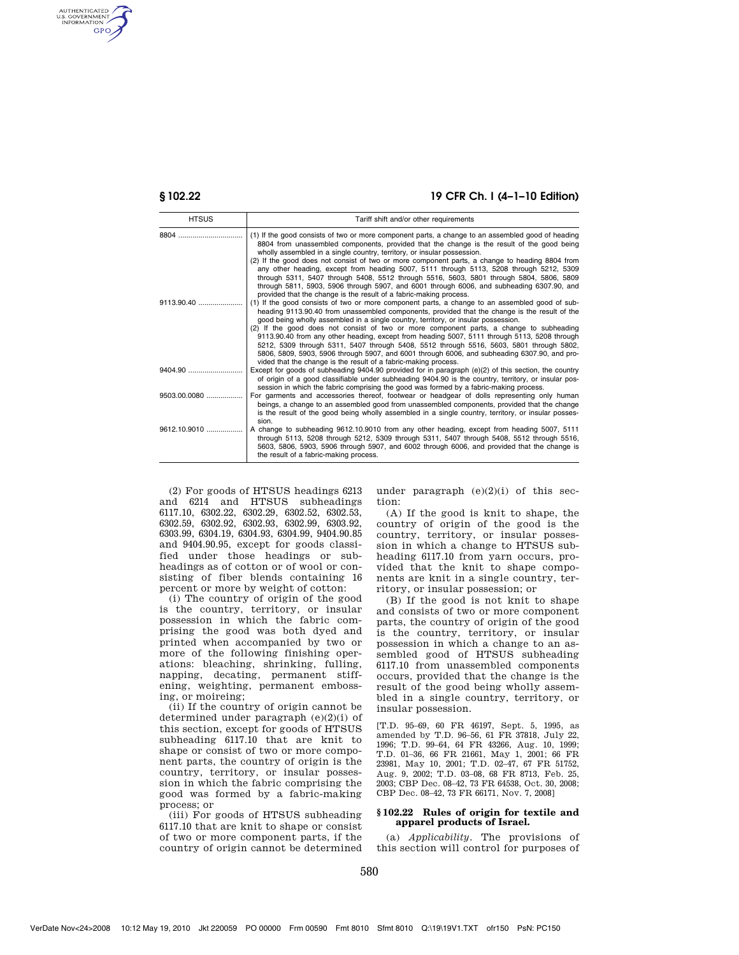AUTHENTICATED<br>U.S. GOVERNMENT<br>INFORMATION **GPO** 

# **§ 102.22 19 CFR Ch. I (4–1–10 Edition)**

| <b>HTSUS</b> | Tariff shift and/or other requirements                                                                                                                                                                                                                                                                                                                                                                                                                                                                                                                                                                                                                                                                                                         |
|--------------|------------------------------------------------------------------------------------------------------------------------------------------------------------------------------------------------------------------------------------------------------------------------------------------------------------------------------------------------------------------------------------------------------------------------------------------------------------------------------------------------------------------------------------------------------------------------------------------------------------------------------------------------------------------------------------------------------------------------------------------------|
|              | (1) If the good consists of two or more component parts, a change to an assembled good of heading<br>8804 from unassembled components, provided that the change is the result of the good being<br>wholly assembled in a single country, territory, or insular possession.<br>(2) If the good does not consist of two or more component parts, a change to heading 8804 from<br>any other heading, except from heading 5007, 5111 through 5113, 5208 through 5212, 5309<br>through 5311, 5407 through 5408, 5512 through 5516, 5603, 5801 through 5804, 5806, 5809<br>through 5811, 5903, 5906 through 5907, and 6001 through 6006, and subheading 6307.90, and<br>provided that the change is the result of a fabric-making process.          |
| 9113.90.40   | (1) If the good consists of two or more component parts, a change to an assembled good of sub-<br>heading 9113.90.40 from unassembled components, provided that the change is the result of the<br>good being wholly assembled in a single country, territory, or insular possession.<br>(2) If the good does not consist of two or more component parts, a change to subheading<br>9113.90.40 from any other heading, except from heading 5007, 5111 through 5113, 5208 through<br>5212, 5309 through 5311, 5407 through 5408, 5512 through 5516, 5603, 5801 through 5802,<br>5806, 5809, 5903, 5906 through 5907, and 6001 through 6006, and subheading 6307.90, and pro-<br>vided that the change is the result of a fabric-making process. |
|              | Except for goods of subheading 9404.90 provided for in paragraph (e)(2) of this section, the country<br>of origin of a good classifiable under subheading 9404.90 is the country, territory, or insular pos-<br>session in which the fabric comprising the good was formed by a fabric-making process.                                                                                                                                                                                                                                                                                                                                                                                                                                         |
| 9503.00.0080 | For garments and accessories thereof, footwear or headgear of dolls representing only human<br>beings, a change to an assembled good from unassembled components, provided that the change<br>is the result of the good being wholly assembled in a single country, territory, or insular posses-<br>sion.                                                                                                                                                                                                                                                                                                                                                                                                                                     |
| 9612.10.9010 | A change to subheading 9612.10.9010 from any other heading, except from heading 5007, 5111<br>through 5113, 5208 through 5212, 5309 through 5311, 5407 through 5408, 5512 through 5516,<br>5603, 5806, 5903, 5906 through 5907, and 6002 through 6006, and provided that the change is<br>the result of a fabric-making process.                                                                                                                                                                                                                                                                                                                                                                                                               |

(2) For goods of HTSUS headings 6213 and 6214 and HTSUS subheadings 6117.10, 6302.22, 6302.29, 6302.52, 6302.53, 6302.59, 6302.92, 6302.93, 6302.99, 6303.92, 6303.99, 6304.19, 6304.93, 6304.99, 9404.90.85 and 9404.90.95, except for goods classified under those headings or subheadings as of cotton or of wool or consisting of fiber blends containing 16 percent or more by weight of cotton:

(i) The country of origin of the good is the country, territory, or insular possession in which the fabric comprising the good was both dyed and printed when accompanied by two or more of the following finishing operations: bleaching, shrinking, fulling, napping, decating, permanent stiffening, weighting, permanent embossing, or moireing;

(ii) If the country of origin cannot be determined under paragraph  $(e)(2)(i)$  of this section, except for goods of HTSUS subheading 6117.10 that are knit to shape or consist of two or more component parts, the country of origin is the country, territory, or insular possession in which the fabric comprising the good was formed by a fabric-making process; or

(iii) For goods of HTSUS subheading 6117.10 that are knit to shape or consist of two or more component parts, if the country of origin cannot be determined under paragraph (e)(2)(i) of this section:

(A) If the good is knit to shape, the country of origin of the good is the country, territory, or insular possession in which a change to HTSUS subheading 6117.10 from yarn occurs, provided that the knit to shape components are knit in a single country, territory, or insular possession; or

(B) If the good is not knit to shape and consists of two or more component parts, the country of origin of the good is the country, territory, or insular possession in which a change to an assembled good of HTSUS subheading 6117.10 from unassembled components occurs, provided that the change is the result of the good being wholly assembled in a single country, territory, or insular possession.

[T.D. 95–69, 60 FR 46197, Sept. 5, 1995, as amended by T.D. 96–56, 61 FR 37818, July 22, 1996; T.D. 99–64, 64 FR 43266, Aug. 10, 1999; T.D. 01–36, 66 FR 21661, May 1, 2001; 66 FR 23981, May 10, 2001; T.D. 02–47, 67 FR 51752, Aug. 9, 2002; T.D. 03–08, 68 FR 8713, Feb. 25, 2003; CBP Dec. 08–42, 73 FR 64538, Oct. 30, 2008; CBP Dec. 08–42, 73 FR 66171, Nov. 7, 2008]

## **§ 102.22 Rules of origin for textile and apparel products of Israel.**

(a) *Applicability.* The provisions of this section will control for purposes of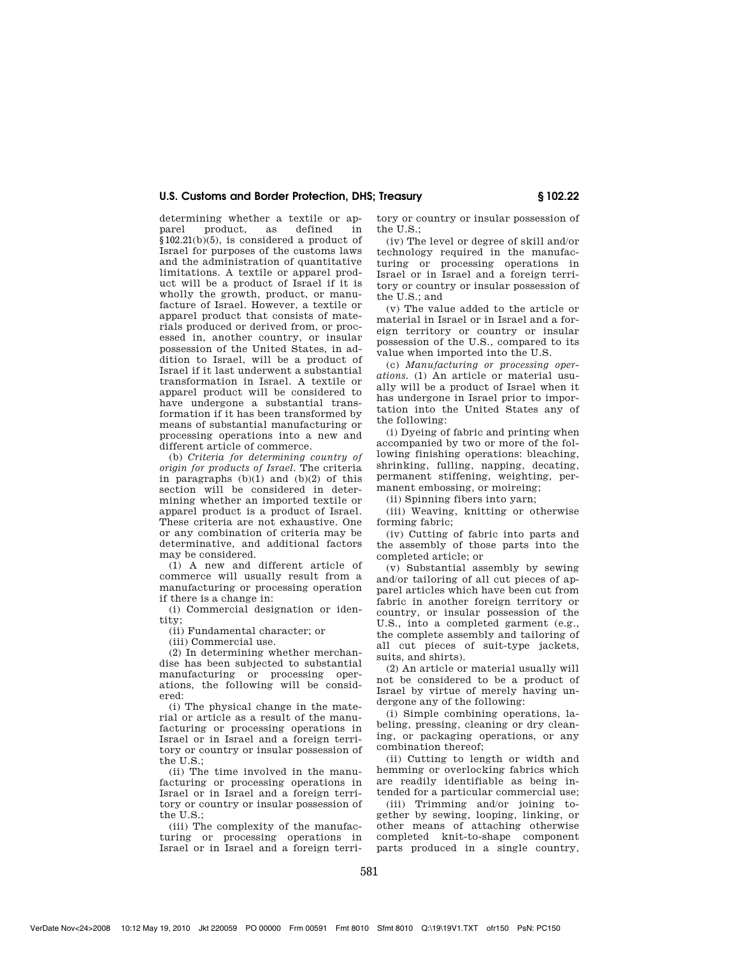# **U.S. Customs and Border Protection, DHS; Treasury § 102.22**

determining whether a textile or apparel product, as defined in  $$102.21(b)(5)$ , is considered a product of Israel for purposes of the customs laws and the administration of quantitative limitations. A textile or apparel product will be a product of Israel if it is wholly the growth, product, or manufacture of Israel. However, a textile or apparel product that consists of materials produced or derived from, or processed in, another country, or insular possession of the United States, in addition to Israel, will be a product of Israel if it last underwent a substantial transformation in Israel. A textile or apparel product will be considered to have undergone a substantial transformation if it has been transformed by means of substantial manufacturing or processing operations into a new and different article of commerce.

(b) *Criteria for determining country of origin for products of Israel.* The criteria in paragraphs  $(b)(1)$  and  $(b)(2)$  of this section will be considered in determining whether an imported textile or apparel product is a product of Israel. These criteria are not exhaustive. One or any combination of criteria may be determinative, and additional factors may be considered.

(1) A new and different article of commerce will usually result from a manufacturing or processing operation if there is a change in:

(i) Commercial designation or identity;

(ii) Fundamental character; or

(iii) Commercial use.

(2) In determining whether merchandise has been subjected to substantial manufacturing or processing operations, the following will be considered:

(i) The physical change in the material or article as a result of the manufacturing or processing operations in Israel or in Israel and a foreign territory or country or insular possession of the  $II.S.$ 

(ii) The time involved in the manufacturing or processing operations in Israel or in Israel and a foreign territory or country or insular possession of the U.S.;

(iii) The complexity of the manufacturing or processing operations in Israel or in Israel and a foreign territory or country or insular possession of the U.S.;

(iv) The level or degree of skill and/or technology required in the manufacturing or processing operations in Israel or in Israel and a foreign territory or country or insular possession of the U.S.; and

(v) The value added to the article or material in Israel or in Israel and a foreign territory or country or insular possession of the U.S., compared to its value when imported into the U.S.

(c) *Manufacturing or processing operations.* (1) An article or material usually will be a product of Israel when it has undergone in Israel prior to importation into the United States any of the following:

(i) Dyeing of fabric and printing when accompanied by two or more of the following finishing operations: bleaching, shrinking, fulling, napping, decating, permanent stiffening, weighting, permanent embossing, or moireing;

(ii) Spinning fibers into yarn;

(iii) Weaving, knitting or otherwise forming fabric;

(iv) Cutting of fabric into parts and the assembly of those parts into the completed article; or

(v) Substantial assembly by sewing and/or tailoring of all cut pieces of apparel articles which have been cut from fabric in another foreign territory or country, or insular possession of the U.S., into a completed garment (e.g., the complete assembly and tailoring of all cut pieces of suit-type jackets, suits, and shirts).

(2) An article or material usually will not be considered to be a product of Israel by virtue of merely having undergone any of the following:

(i) Simple combining operations, labeling, pressing, cleaning or dry cleaning, or packaging operations, or any combination thereof;

(ii) Cutting to length or width and hemming or overlocking fabrics which are readily identifiable as being intended for a particular commercial use;

(iii) Trimming and/or joining together by sewing, looping, linking, or other means of attaching otherwise completed knit-to-shape component parts produced in a single country,